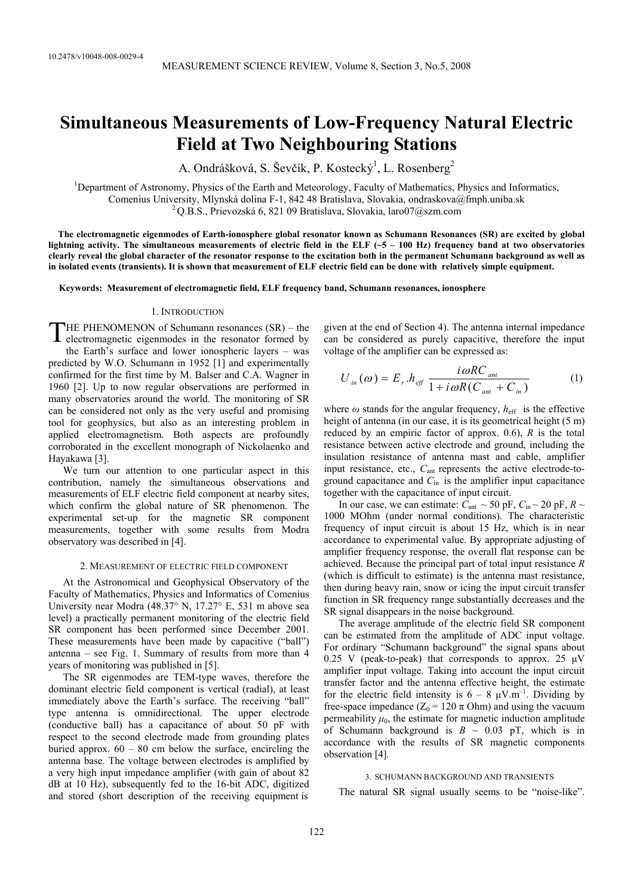# **Simultaneous Measurements of Low-Frequency Natural Electric Field at Two Neighbouring Stations**

A. Ondrášková, S. Ševčík, P. Kostecký<sup>1</sup>, L. Rosenberg<sup>2</sup>

<sup>1</sup>Department of Astronomy, Physics of the Earth and Meteorology, Faculty of Mathematics, Physics and Informatics, Comenius University, Mlynská dolina F-1, 842 48 Bratislava, Slovakia, ondraskova@fmph.uniba.sk <sup>2</sup> Q.B.S., Prievozská 6, 821 09 Bratislava, Slovakia, laro07@szm.com

 **The electromagnetic eigenmodes of Earth-ionosphere global resonator known as Schumann Resonances (SR) are excited by global lightning activity. The simultaneous measurements of electric field in the ELF (~5 – 100 Hz) frequency band at two observatories clearly reveal the global character of the resonator response to the excitation both in the permanent Schumann background as well as in isolated events (transients). It is shown that measurement of ELF electric field can be done with relatively simple equipment.** 

**Keywords: Measurement of electromagnetic field, ELF frequency band, Schumann resonances, ionosphere** 

# 1. INTRODUCTION

HE PHENOMENON of Schumann resonances (SR) – the THE PHENOMENON of Schumann resonances (SR) – the electromagnetic eigenmodes in the resonator formed by the Earth's surface and lower ionospheric layers – was predicted by W.O. Schumann in 1952 [1] and experimentally confirmed for the first time by M. Balser and C.A. Wagner in 1960 [2]. Up to now regular observations are performed in many observatories around the world. The monitoring of SR can be considered not only as the very useful and promising tool for geophysics, but also as an interesting problem in applied electromagnetism. Both aspects are profoundly corroborated in the excellent monograph of Nickolaenko and Hayakawa [3].

We turn our attention to one particular aspect in this contribution, namely the simultaneous observations and measurements of ELF electric field component at nearby sites, which confirm the global nature of SR phenomenon. The experimental set-up for the magnetic SR component measurements, together with some results from Modra observatory was described in [4].

# 2. MEASUREMENT OF ELECTRIC FIELD COMPONENT

At the Astronomical and Geophysical Observatory of the Faculty of Mathematics, Physics and Informatics of Comenius University near Modra (48.37° N, 17.27° E, 531 m above sea level) a practically permanent monitoring of the electric field SR component has been performed since December 2001. These measurements have been made by capacitive ("ball") antenna – see Fig. 1. Summary of results from more than 4 years of monitoring was published in [5].

The SR eigenmodes are TEM-type waves, therefore the dominant electric field component is vertical (radial), at least immediately above the Earth's surface. The receiving "ball" type antenna is omnidirectional. The upper electrode (conductive ball) has a capacitance of about 50 pF with respect to the second electrode made from grounding plates buried approx.  $60 - 80$  cm below the surface, encircling the antenna base. The voltage between electrodes is amplified by a very high input impedance amplifier (with gain of about 82 dB at 10 Hz), subsequently fed to the 16-bit ADC, digitized and stored (short description of the receiving equipment is

given at the end of Section 4). The antenna internal impedance can be considered as purely capacitive, therefore the input voltage of the amplifier can be expressed as:

$$
U_{in}(\omega) = E_r . h_{eff} \frac{i\omega RC_{ant}}{1 + i\omega R(C_{ant} + C_{in})}
$$
 (1)

where  $\omega$  stands for the angular frequency,  $h_{\text{eff}}$  is the effective height of antenna (in our case, it is its geometrical height (5 m) reduced by an empiric factor of approx. 0.6), *R* is the total resistance between active electrode and ground, including the insulation resistance of antenna mast and cable, amplifier input resistance, etc., *C*ant represents the active electrode-toground capacitance and *C*in is the amplifier input capacitance together with the capacitance of input circuit.

In our case, we can estimate:  $C_{\text{ant}} \sim 50 \text{ pF}, C_{\text{in}} \sim 20 \text{ pF}, R \sim$ 1000 MOhm (under normal conditions). The characteristic frequency of input circuit is about 15 Hz, which is in near accordance to experimental value. By appropriate adjusting of amplifier frequency response, the overall flat response can be achieved. Because the principal part of total input resistance *R*  (which is difficult to estimate) is the antenna mast resistance, then during heavy rain, snow or icing the input circuit transfer function in SR frequency range substantially decreases and the SR signal disappears in the noise background.

The average amplitude of the electric field SR component can be estimated from the amplitude of ADC input voltage. For ordinary "Schumann background" the signal spans about  $0.25$  V (peak-to-peak) that corresponds to approx. 25  $\mu$ V amplifier input voltage. Taking into account the input circuit transfer factor and the antenna effective height, the estimate for the electric field intensity is  $6 - 8 \mu V.m^{-1}$ . Dividing by free-space impedance  $(Z_0 = 120 \pi \text{ Ohm})$  and using the vacuum permeability  $\mu_0$ , the estimate for magnetic induction amplitude of Schumann background is  $B \sim 0.03$  pT, which is in accordance with the results of SR magnetic components observation [4]*.* 

# 3. SCHUMANN BACKGROUND AND TRANSIENTS

The natural SR signal usually seems to be "noise-like".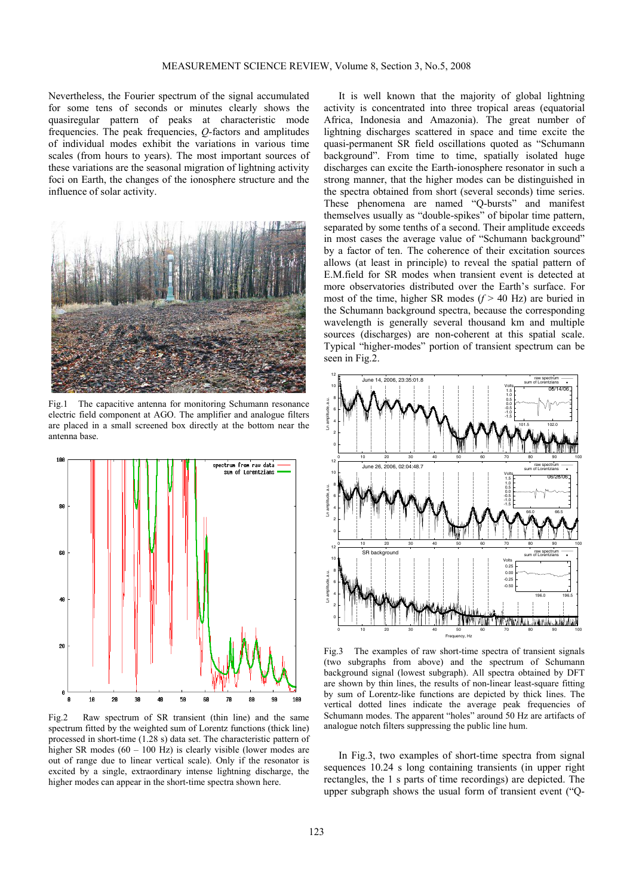Nevertheless, the Fourier spectrum of the signal accumulated for some tens of seconds or minutes clearly shows the quasiregular pattern of peaks at characteristic mode frequencies. The peak frequencies, *Q*-factors and amplitudes of individual modes exhibit the variations in various time scales (from hours to years). The most important sources of these variations are the seasonal migration of lightning activity foci on Earth, the changes of the ionosphere structure and the influence of solar activity.



Fig.1 The capacitive antenna for monitoring Schumann resonance electric field component at AGO. The amplifier and analogue filters are placed in a small screened box directly at the bottom near the antenna base.



Fig.2 Raw spectrum of SR transient (thin line) and the same spectrum fitted by the weighted sum of Lorentz functions (thick line) processed in short-time (1.28 s) data set. The characteristic pattern of higher SR modes (60 – 100 Hz) is clearly visible (lower modes are out of range due to linear vertical scale). Only if the resonator is excited by a single, extraordinary intense lightning discharge, the higher modes can appear in the short-time spectra shown here.

It is well known that the majority of global lightning activity is concentrated into three tropical areas (equatorial Africa, Indonesia and Amazonia). The great number of lightning discharges scattered in space and time excite the quasi-permanent SR field oscillations quoted as "Schumann background". From time to time, spatially isolated huge discharges can excite the Earth-ionosphere resonator in such a strong manner, that the higher modes can be distinguished in the spectra obtained from short (several seconds) time series. These phenomena are named "Q-bursts" and manifest themselves usually as "double-spikes" of bipolar time pattern, separated by some tenths of a second. Their amplitude exceeds in most cases the average value of "Schumann background" by a factor of ten. The coherence of their excitation sources allows (at least in principle) to reveal the spatial pattern of E.M.field for SR modes when transient event is detected at more observatories distributed over the Earth's surface. For most of the time, higher SR modes (*f* > 40 Hz) are buried in the Schumann background spectra, because the corresponding wavelength is generally several thousand km and multiple sources (discharges) are non-coherent at this spatial scale. Typical "higher-modes" portion of transient spectrum can be seen in Fig.2.



Fig.3 The examples of raw short-time spectra of transient signals (two subgraphs from above) and the spectrum of Schumann background signal (lowest subgraph). All spectra obtained by DFT are shown by thin lines, the results of non-linear least-square fitting by sum of Lorentz-like functions are depicted by thick lines. The vertical dotted lines indicate the average peak frequencies of Schumann modes. The apparent "holes" around 50 Hz are artifacts of analogue notch filters suppressing the public line hum.

In Fig.3, two examples of short-time spectra from signal sequences 10.24 s long containing transients (in upper right rectangles, the 1 s parts of time recordings) are depicted. The upper subgraph shows the usual form of transient event ("Q-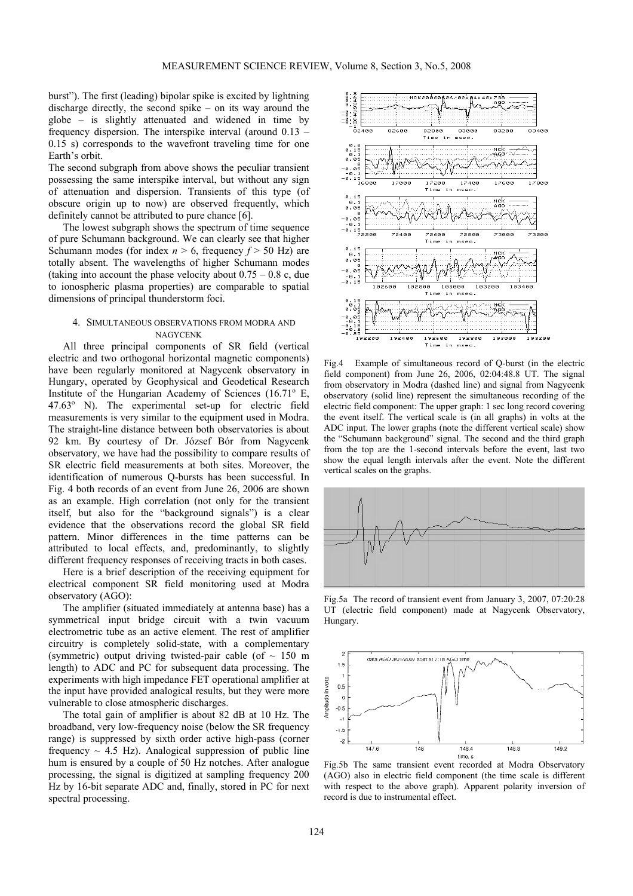burst"). The first (leading) bipolar spike is excited by lightning discharge directly, the second spike – on its way around the globe – is slightly attenuated and widened in time by frequency dispersion. The interspike interval (around 0.13 – 0.15 s) corresponds to the wavefront traveling time for one Earth's orbit.

The second subgraph from above shows the peculiar transient possessing the same interspike interval, but without any sign of attenuation and dispersion. Transients of this type (of obscure origin up to now) are observed frequently, which definitely cannot be attributed to pure chance [6].

The lowest subgraph shows the spectrum of time sequence of pure Schumann background. We can clearly see that higher Schumann modes (for index  $n > 6$ , frequency  $f > 50$  Hz) are totally absent. The wavelengths of higher Schumann modes (taking into account the phase velocity about  $0.75 - 0.8$  c, due to ionospheric plasma properties) are comparable to spatial dimensions of principal thunderstorm foci.

# 4. SIMULTANEOUS OBSERVATIONS FROM MODRA AND NAGYCENK

All three principal components of SR field (vertical electric and two orthogonal horizontal magnetic components) have been regularly monitored at Nagycenk observatory in Hungary, operated by Geophysical and Geodetical Research Institute of the Hungarian Academy of Sciences (16.71<sup>°</sup> E, 47.63<sup>°</sup> N). The experimental set-up for electric field measurements is very similar to the equipment used in Modra. The straight-line distance between both observatories is about 92 km. By courtesy of Dr. József Bór from Nagycenk observatory, we have had the possibility to compare results of SR electric field measurements at both sites. Moreover, the identification of numerous Q-bursts has been successful. In Fig. 4 both records of an event from June 26, 2006 are shown as an example. High correlation (not only for the transient itself, but also for the "background signals") is a clear evidence that the observations record the global SR field pattern. Minor differences in the time patterns can be attributed to local effects, and, predominantly, to slightly different frequency responses of receiving tracts in both cases.

Here is a brief description of the receiving equipment for electrical component SR field monitoring used at Modra observatory (AGO):

The amplifier (situated immediately at antenna base) has a symmetrical input bridge circuit with a twin vacuum electrometric tube as an active element. The rest of amplifier circuitry is completely solid-state, with a complementary (symmetric) output driving twisted-pair cable (of  $\sim 150$  m length) to ADC and PC for subsequent data processing. The experiments with high impedance FET operational amplifier at the input have provided analogical results, but they were more vulnerable to close atmospheric discharges.

The total gain of amplifier is about 82 dB at 10 Hz. The broadband, very low-frequency noise (below the SR frequency range) is suppressed by sixth order active high-pass (corner frequency  $\sim$  4.5 Hz). Analogical suppression of public line hum is ensured by a couple of 50 Hz notches. After analogue processing, the signal is digitized at sampling frequency 200 Hz by 16-bit separate ADC and, finally, stored in PC for next spectral processing.



Fig.4 Example of simultaneous record of Q-burst (in the electric field component) from June 26, 2006, 02:04:48.8 UT. The signal from observatory in Modra (dashed line) and signal from Nagycenk observatory (solid line) represent the simultaneous recording of the electric field component: The upper graph: 1 sec long record covering the event itself. The vertical scale is (in all graphs) in volts at the ADC input. The lower graphs (note the different vertical scale) show the "Schumann background" signal. The second and the third graph from the top are the 1-second intervals before the event, last two show the equal length intervals after the event. Note the different vertical scales on the graphs.



Fig.5a The record of transient event from January 3, 2007, 07:20:28 UT (electric field component) made at Nagycenk Observatory, Hungary.



Fig.5b The same transient event recorded at Modra Observatory (AGO) also in electric field component (the time scale is different with respect to the above graph). Apparent polarity inversion of record is due to instrumental effect.